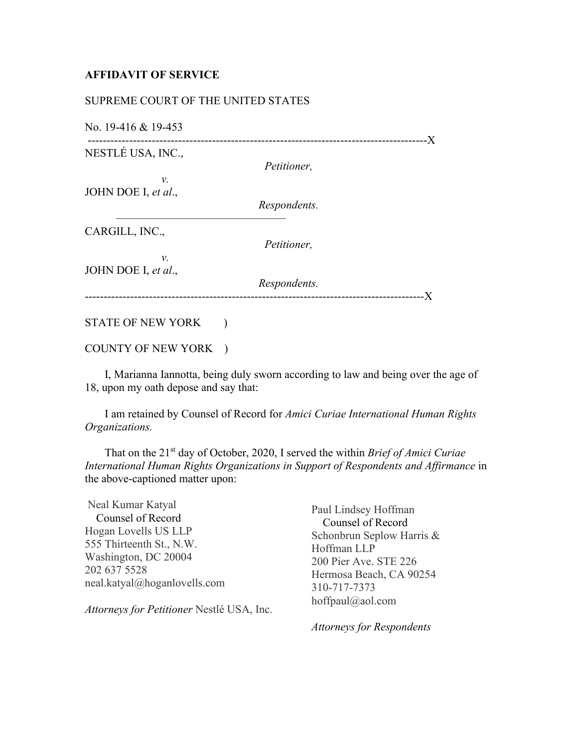## **AFFIDAVIT OF SERVICE**

## SUPREME COURT OF THE UNITED STATES

––––––––––––––––––––––––––––––

No. 19-416 & 19-453

------------------------------------------------------------------------------------------X NESTLÉ USA, INC.,

*Petitioner,*

 *v.* JOHN DOE I, *et al*.,

*Respondents.*

CARGILL, INC.,

*Petitioner,*

 *v.* JOHN DOE I, *et al*.,

*Respondents.* ------------------------------------------------------------------------------------------X

## STATE OF NEW YORK )

## COUNTY OF NEW YORK )

 I, Marianna Iannotta, being duly sworn according to law and being over the age of 18, upon my oath depose and say that:

 I am retained by Counsel of Record for *Amici Curiae International Human Rights Organizations.*

 That on the 21st day of October, 2020, I served the within *Brief of Amici Curiae International Human Rights Organizations in Support of Respondents and Affirmance* in the above-captioned matter upon:

Neal Kumar Katyal Counsel of Record Hogan Lovells US LLP 555 Thirteenth St., N.W. Washington, DC 20004 202 637 5528 neal.katyal@hoganlovells.com

*Attorneys for Petitioner* Nestlé USA, Inc.

Paul Lindsey Hoffman Counsel of Record Schonbrun Seplow Harris & Hoffman LLP 200 Pier Ave. STE 226 Hermosa Beach, CA 90254 310-717-7373 hoffpaul@aol.com

*Attorneys for Respondents*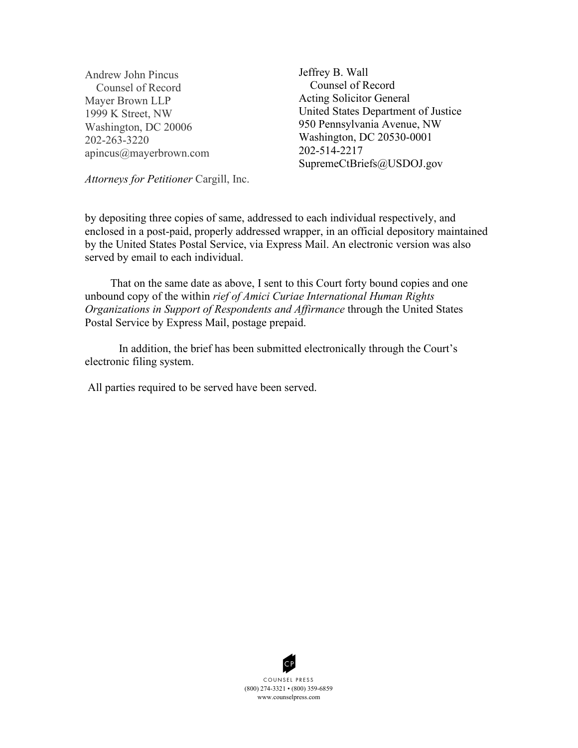Andrew John Pincus Counsel of Record Mayer Brown LLP 1999 K Street, NW Washington, DC 20006 202-263-3220 apincus@mayerbrown.com Jeffrey B. Wall Counsel of Record Acting Solicitor General United States Department of Justice 950 Pennsylvania Avenue, NW Washington, DC 20530-0001 202-514-2217 SupremeCtBriefs@USDOJ.gov

*Attorneys for Petitioner* Cargill, Inc.

by depositing three copies of same, addressed to each individual respectively, and enclosed in a post-paid, properly addressed wrapper, in an official depository maintained by the United States Postal Service, via Express Mail. An electronic version was also served by email to each individual.

 That on the same date as above, I sent to this Court forty bound copies and one unbound copy of the within *rief of Amici Curiae International Human Rights Organizations in Support of Respondents and Affirmance* through the United States Postal Service by Express Mail, postage prepaid.

In addition, the brief has been submitted electronically through the Court's electronic filing system.

All parties required to be served have been served.



(800) 274 -3321 • (800) 359-6859 www.counselpress.com